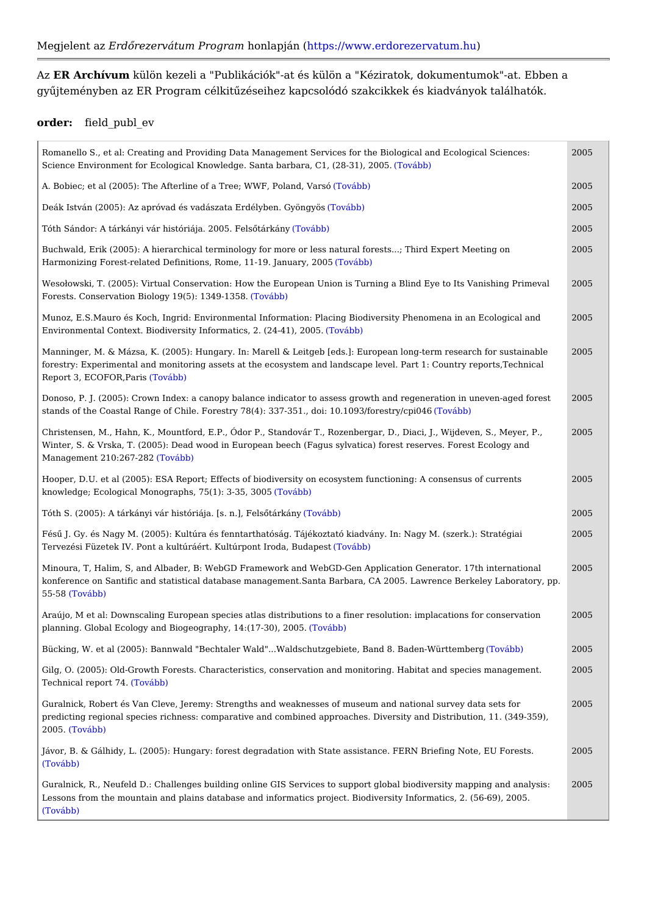AzER Archívu mülön kezeli a "Publikációk"-at és külön a "Kéziratok, dokumentumok gyqjteményben az ER Program célkitqzéseihez kapcsolódó szakcikkek és kiadvány

## order: field $\_$ publ $\_$ ev

| Romanello S., et al: Creating and Providing Data Management Services for the Biologic: 2005 Ecolog<br>Science Environment for Ecological Knowledge. Santa barbaTay Ctth) (28-31), 2005.                               |      |                                       |
|-----------------------------------------------------------------------------------------------------------------------------------------------------------------------------------------------------------------------|------|---------------------------------------|
| A. Bobiec; et al (2005): The Afterline of a Tree; WTW Fab Pooland, Varso                                                                                                                                              | 2005 |                                       |
| Deák István (2005): Az apróvad és vadászata Er(dTédybbb) Gyöngyös                                                                                                                                                     | 2005 |                                       |
| Tóth Sándor: A tárkányi vár históriája. 2005o VFáebls Qtárkány                                                                                                                                                        | 2005 |                                       |
| Buchwald, Erik (2005): A hierarchical terminology for more or less natural forests; Th 2005<br>Harmonizing Forest-related Definitions, Rome, 11(-7109vábabn)uary, 2005                                                |      | bert Me                               |
| WesoBowski, T. (2005): Virtual Conservation: How the European Union is Turning a Blin 2005<br>Forests. Conservation Biology 19(50T of N364b9b)1358.                                                                   |      | $ 0$ Its $\sqrt{ }$                   |
| Munoz, E.S.Mauro és Koch, Ingrid: Environmental Information: Placing Biodiversity Phei 2005<br>Environmental Context. Biodiversity Informatics(T20v424)41), 2005.                                                     |      | in an                                 |
| Manninger, M. & Mázsa, K. (2005): Hungary. In: Marell & Leitgeb [eds.]: European long- 2005<br>forestry: Experimental and monitoring assets at the ecosystem and landscape level. Par<br>Report 3, ECOFOR(, Poavasbb) |      | ∣search<br>untry                      |
| Donoso, P. J. (2005): Crown Index: a canopy balance indicator to assess growth and re( 2005<br>stands of the Coastal Range of Chile. Forestry 78(4): 337-351., doTo dabb093/forestry/ct                               |      | lion in                               |
| Christensen, M., Hahn, K., Mountford, E.P., Ódor P., Standovár T., Rozenbergar, D., Di 2005<br>Winter, S. & Vrska, T. (2005): Dead wood in European beech (Fagus sylvatica) forest re<br>Management 210:26(7T-282bb)  |      | Wijdel<br>Fores                       |
| Hooper, D.U. et al (2005): ESA Report; Effects of biodiversity on ecosystem functioning 2005<br>knowledge; Ecological Monographs, 75((1T)ov3á-b3b5), 3005                                                             |      | $ $ sensus                            |
| Tóth S. (2005): A tárkányi vár históriája. [s(Tnov}ábFbe)lsQtárkány                                                                                                                                                   | 2005 |                                       |
| Fésq J. Gy. és Nagy M. (2005): Kultúra és fenntarthatóság. Tájékoztató kiadvány. In: N 2005<br>Tervezési Füzetek IV. Pont a kultúráért. Kultúrpo(nTto Vráobdba), Budapest                                             |      | $\sqrt{sz}$ erk                       |
| Minoura, T, Halim, S, and Albader, B: WebGD Framework and WebGD-Gen Application G 2005<br>konference on Santific and statistical database management. Santa Barbara, CA 2005. La<br>$55 - 58Tovább)$                  |      | ∣r. 17th<br>Berke                     |
| Araújo, M et al: Downscaling European species atlas distributions to a finer resolution: 2005 ations<br>planning. Global Ecology and Biogeography, (T4o(thtd)0), 2005.                                                |      |                                       |
| Bücking, W. et al (2005): Bannwald "Bechtaler Wald"Waldschutzgebiete, (Bandb&b.) Bade 2005                                                                                                                            |      | $t$ e m b e r                         |
| Gilg, O. (2005): Old-Growth Forests. Characteristics, conservation and monitoring. Habi 2005<br>Technical repor(fT@4abb)                                                                                              |      | speci                                 |
| Guralnick, Robert és Van Cleve, Jeremy: Strengths and weaknesses of museum and nati 2005<br>predicting regional species richness: comparative and combined approaches. Diversity a<br>2005(Tovább)                    |      | $ r \vee e \vee d $<br><b>tributi</b> |
| Jávor, B. & Gálhidy, L. (2005): Hungary: forest degradation with State assistance. FERN 2005<br>(Tovább)                                                                                                              |      | $ ng \t$ Not                          |
| Guralnick, R., Neufeld D.: Challenges building online GIS Services to support global bi( 2005<br>Lessons from the mountain and plains database and informatics project. Biodiversity Inf<br>(Tovább)                  |      | ∥ity map<br>$\frac{1}{2}$ s, 2.       |